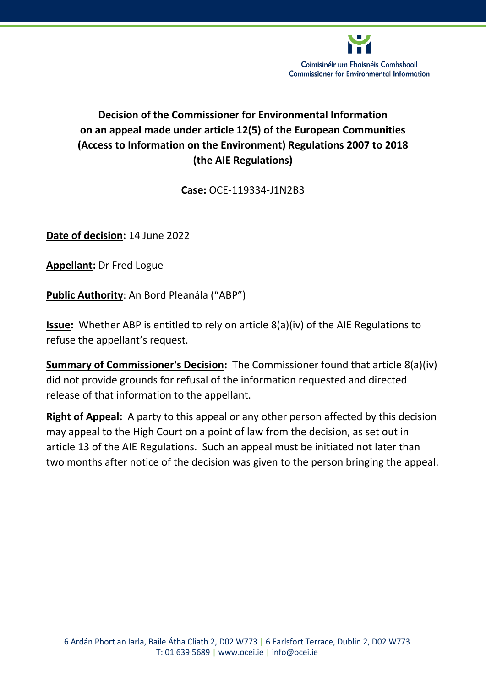

# **Decision of the Commissioner for Environmental Information on an appeal made under article 12(5) of the European Communities (Access to Information on the Environment) Regulations 2007 to 2018 (the AIE Regulations)**

## **Case:** OCE-119334-J1N2B3

**Date of decision:** 14 June 2022

**Appellant:** Dr Fred Logue

**Public Authority**: An Bord Pleanála ("ABP")

**Issue:** Whether ABP is entitled to rely on article 8(a)(iv) of the AIE Regulations to refuse the appellant's request.

**Summary of Commissioner's Decision:** The Commissioner found that article 8(a)(iv) did not provide grounds for refusal of the information requested and directed release of that information to the appellant.

**Right of Appeal:** A party to this appeal or any other person affected by this decision may appeal to the High Court on a point of law from the decision, as set out in article 13 of the AIE Regulations. Such an appeal must be initiated not later than two months after notice of the decision was given to the person bringing the appeal.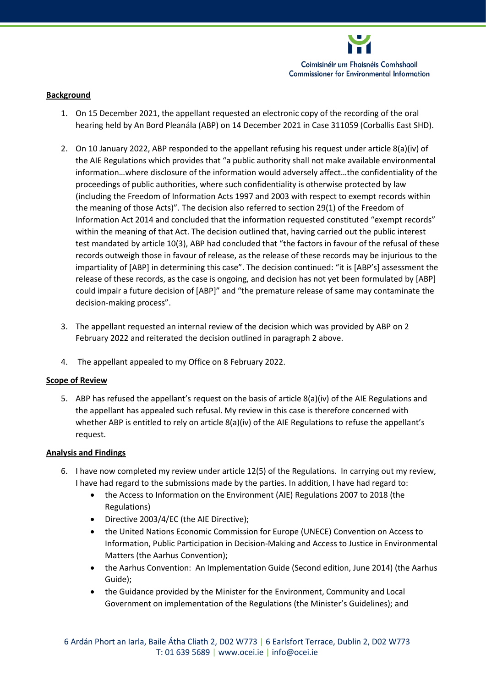

### **Background**

- 1. On 15 December 2021, the appellant requested an electronic copy of the recording of the oral hearing held by An Bord Pleanála (ABP) on 14 December 2021 in Case 311059 (Corballis East SHD).
- 2. On 10 January 2022, ABP responded to the appellant refusing his request under article 8(a)(iv) of the AIE Regulations which provides that "a public authority shall not make available environmental information…where disclosure of the information would adversely affect…the confidentiality of the proceedings of public authorities, where such confidentiality is otherwise protected by law (including the Freedom of Information Acts 1997 and 2003 with respect to exempt records within the meaning of those Acts)". The decision also referred to section 29(1) of the Freedom of Information Act 2014 and concluded that the information requested constituted "exempt records" within the meaning of that Act. The decision outlined that, having carried out the public interest test mandated by article 10(3), ABP had concluded that "the factors in favour of the refusal of these records outweigh those in favour of release, as the release of these records may be injurious to the impartiality of [ABP] in determining this case". The decision continued: "it is [ABP's] assessment the release of these records, as the case is ongoing, and decision has not yet been formulated by [ABP] could impair a future decision of [ABP]" and "the premature release of same may contaminate the decision-making process".
- 3. The appellant requested an internal review of the decision which was provided by ABP on 2 February 2022 and reiterated the decision outlined in paragraph 2 above.
- 4. The appellant appealed to my Office on 8 February 2022.

#### **Scope of Review**

5. ABP has refused the appellant's request on the basis of article 8(a)(iv) of the AIE Regulations and the appellant has appealed such refusal. My review in this case is therefore concerned with whether ABP is entitled to rely on article 8(a)(iv) of the AIE Regulations to refuse the appellant's request.

#### **Analysis and Findings**

- 6. I have now completed my review under article 12(5) of the Regulations. In carrying out my review, I have had regard to the submissions made by the parties. In addition, I have had regard to:
	- the Access to Information on the Environment (AIE) Regulations 2007 to 2018 (the Regulations)
	- Directive 2003/4/EC (the AIE Directive);
	- the United Nations Economic Commission for Europe (UNECE) Convention on Access to Information, Public Participation in Decision-Making and Access to Justice in Environmental Matters (the Aarhus Convention);
	- the Aarhus Convention: An Implementation Guide (Second edition, June 2014) (the Aarhus Guide);
	- the Guidance provided by the Minister for the Environment, Community and Local Government on implementation of the Regulations (the Minister's Guidelines); and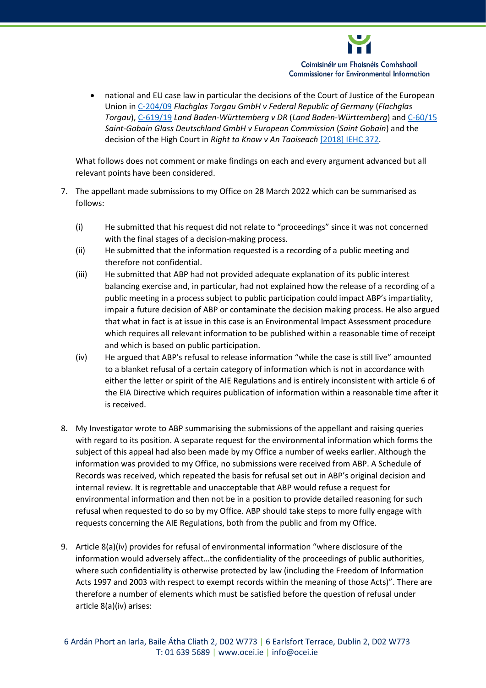

 national and EU case law in particular the decisions of the Court of Justice of the European Union in C‑[204/09](https://curia.europa.eu/juris/document/document.jsf?text=&docid=119426&pageIndex=0&doclang=EN&mode=req&dir=&occ=first&part=1&cid=792978) *Flachglas Torgau GmbH v Federal Republic of Germany* (*Flachglas Torgau*), C‑[619/19](https://curia.europa.eu/juris/document/document.jsf?text=&docid=236684&pageIndex=0&doclang=EN&mode=lst&dir=&occ=first&part=1&cid=4249086) *Land Baden-Württemberg v DR* (*Land Baden-Württemberg*) and [C-60/15](https://curia.europa.eu/juris/document/document.jsf?text=&docid=192693&pageIndex=0&doclang=en&mode=lst&dir=&occ=first&part=1&cid=5625265) *Saint-Gobain Glass Deutschland GmbH v European Commission* (*Saint Gobain*) and the decision of the High Court in *Right to Know v An Taoiseach* [\[2018\] IEHC 372.](https://www.courts.ie/acc/alfresco/015ab3cc-e8cc-481d-91f4-61fa06f18dda/2018_IEHC_372_1.pdf/pdf#view=fitH)

What follows does not comment or make findings on each and every argument advanced but all relevant points have been considered.

- 7. The appellant made submissions to my Office on 28 March 2022 which can be summarised as follows:
	- (i) He submitted that his request did not relate to "proceedings" since it was not concerned with the final stages of a decision-making process.
	- (ii) He submitted that the information requested is a recording of a public meeting and therefore not confidential.
	- (iii) He submitted that ABP had not provided adequate explanation of its public interest balancing exercise and, in particular, had not explained how the release of a recording of a public meeting in a process subject to public participation could impact ABP's impartiality, impair a future decision of ABP or contaminate the decision making process. He also argued that what in fact is at issue in this case is an Environmental Impact Assessment procedure which requires all relevant information to be published within a reasonable time of receipt and which is based on public participation.
	- (iv) He argued that ABP's refusal to release information "while the case is still live" amounted to a blanket refusal of a certain category of information which is not in accordance with either the letter or spirit of the AIE Regulations and is entirely inconsistent with article 6 of the EIA Directive which requires publication of information within a reasonable time after it is received.
- 8. My Investigator wrote to ABP summarising the submissions of the appellant and raising queries with regard to its position. A separate request for the environmental information which forms the subject of this appeal had also been made by my Office a number of weeks earlier. Although the information was provided to my Office, no submissions were received from ABP. A Schedule of Records was received, which repeated the basis for refusal set out in ABP's original decision and internal review. It is regrettable and unacceptable that ABP would refuse a request for environmental information and then not be in a position to provide detailed reasoning for such refusal when requested to do so by my Office. ABP should take steps to more fully engage with requests concerning the AIE Regulations, both from the public and from my Office.
- 9. Article 8(a)(iv) provides for refusal of environmental information "where disclosure of the information would adversely affect…the confidentiality of the proceedings of public authorities, where such confidentiality is otherwise protected by law (including the Freedom of Information Acts 1997 and 2003 with respect to exempt records within the meaning of those Acts)". There are therefore a number of elements which must be satisfied before the question of refusal under article 8(a)(iv) arises: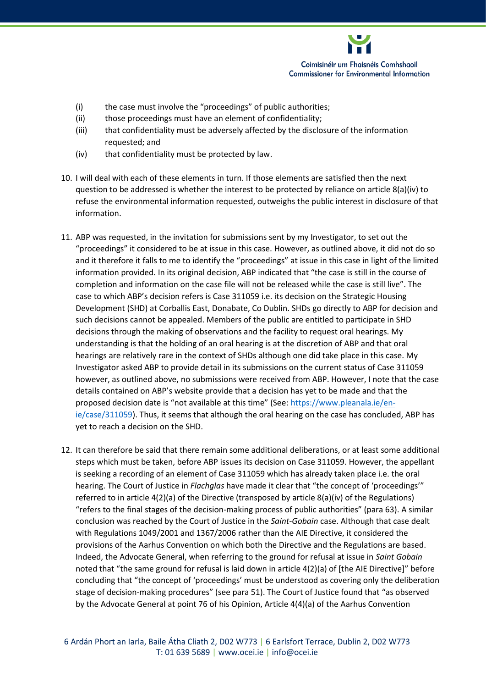

- (i) the case must involve the "proceedings" of public authorities;
- (ii) those proceedings must have an element of confidentiality;
- (iii) that confidentiality must be adversely affected by the disclosure of the information requested; and
- (iv) that confidentiality must be protected by law.
- 10. I will deal with each of these elements in turn. If those elements are satisfied then the next question to be addressed is whether the interest to be protected by reliance on article 8(a)(iv) to refuse the environmental information requested, outweighs the public interest in disclosure of that information.
- 11. ABP was requested, in the invitation for submissions sent by my Investigator, to set out the "proceedings" it considered to be at issue in this case. However, as outlined above, it did not do so and it therefore it falls to me to identify the "proceedings" at issue in this case in light of the limited information provided. In its original decision, ABP indicated that "the case is still in the course of completion and information on the case file will not be released while the case is still live". The case to which ABP's decision refers is Case 311059 i.e. its decision on the Strategic Housing Development (SHD) at Corballis East, Donabate, Co Dublin. SHDs go directly to ABP for decision and such decisions cannot be appealed. Members of the public are entitled to participate in SHD decisions through the making of observations and the facility to request oral hearings. My understanding is that the holding of an oral hearing is at the discretion of ABP and that oral hearings are relatively rare in the context of SHDs although one did take place in this case. My Investigator asked ABP to provide detail in its submissions on the current status of Case 311059 however, as outlined above, no submissions were received from ABP. However, I note that the case details contained on ABP's website provide that a decision has yet to be made and that the proposed decision date is "not available at this time" (See: [https://www.pleanala.ie/en](https://www.pleanala.ie/en-ie/case/311059)[ie/case/311059\)](https://www.pleanala.ie/en-ie/case/311059). Thus, it seems that although the oral hearing on the case has concluded, ABP has yet to reach a decision on the SHD.
- 12. It can therefore be said that there remain some additional deliberations, or at least some additional steps which must be taken, before ABP issues its decision on Case 311059. However, the appellant is seeking a recording of an element of Case 311059 which has already taken place i.e. the oral hearing. The Court of Justice in *Flachglas* have made it clear that "the concept of 'proceedings'" referred to in article 4(2)(a) of the Directive (transposed by article 8(a)(iv) of the Regulations) "refers to the final stages of the decision-making process of public authorities" (para 63). A similar conclusion was reached by the Court of Justice in the *Saint-Gobain* case. Although that case dealt with Regulations 1049/2001 and 1367/2006 rather than the AIE Directive, it considered the provisions of the Aarhus Convention on which both the Directive and the Regulations are based. Indeed, the Advocate General, when referring to the ground for refusal at issue in *Saint Gobain*  noted that "the same ground for refusal is laid down in article 4(2)(a) of [the AIE Directive]" before concluding that "the concept of 'proceedings' must be understood as covering only the deliberation stage of decision-making procedures" (see para 51). The Court of Justice found that "as observed by the Advocate General at point 76 of his Opinion, Article 4(4)(a) of the Aarhus Convention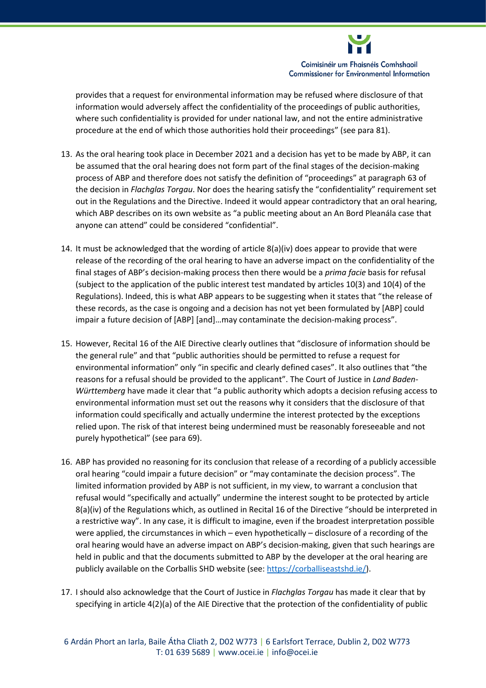

provides that a request for environmental information may be refused where disclosure of that information would adversely affect the confidentiality of the proceedings of public authorities, where such confidentiality is provided for under national law, and not the entire administrative procedure at the end of which those authorities hold their proceedings" (see para 81).

- 13. As the oral hearing took place in December 2021 and a decision has yet to be made by ABP, it can be assumed that the oral hearing does not form part of the final stages of the decision-making process of ABP and therefore does not satisfy the definition of "proceedings" at paragraph 63 of the decision in *Flachglas Torgau*. Nor does the hearing satisfy the "confidentiality" requirement set out in the Regulations and the Directive. Indeed it would appear contradictory that an oral hearing, which ABP describes on its own website as "a public meeting about an An Bord Pleanála case that anyone can attend" could be considered "confidential".
- 14. It must be acknowledged that the wording of article 8(a)(iv) does appear to provide that were release of the recording of the oral hearing to have an adverse impact on the confidentiality of the final stages of ABP's decision-making process then there would be a *prima facie* basis for refusal (subject to the application of the public interest test mandated by articles 10(3) and 10(4) of the Regulations). Indeed, this is what ABP appears to be suggesting when it states that "the release of these records, as the case is ongoing and a decision has not yet been formulated by [ABP] could impair a future decision of [ABP] [and]…may contaminate the decision-making process".
- 15. However, Recital 16 of the AIE Directive clearly outlines that "disclosure of information should be the general rule" and that "public authorities should be permitted to refuse a request for environmental information" only "in specific and clearly defined cases". It also outlines that "the reasons for a refusal should be provided to the applicant". The Court of Justice in *Land Baden-Württemberg* have made it clear that "a public authority which adopts a decision refusing access to environmental information must set out the reasons why it considers that the disclosure of that information could specifically and actually undermine the interest protected by the exceptions relied upon. The risk of that interest being undermined must be reasonably foreseeable and not purely hypothetical" (see para 69).
- 16. ABP has provided no reasoning for its conclusion that release of a recording of a publicly accessible oral hearing "could impair a future decision" or "may contaminate the decision process". The limited information provided by ABP is not sufficient, in my view, to warrant a conclusion that refusal would "specifically and actually" undermine the interest sought to be protected by article 8(a)(iv) of the Regulations which, as outlined in Recital 16 of the Directive "should be interpreted in a restrictive way". In any case, it is difficult to imagine, even if the broadest interpretation possible were applied, the circumstances in which – even hypothetically – disclosure of a recording of the oral hearing would have an adverse impact on ABP's decision-making, given that such hearings are held in public and that the documents submitted to ABP by the developer at the oral hearing are publicly available on the Corballis SHD website (see: [https://corballiseastshd.ie/\)](https://corballiseastshd.ie/).
- 17. I should also acknowledge that the Court of Justice in *Flachglas Torgau* has made it clear that by specifying in article 4(2)(a) of the AIE Directive that the protection of the confidentiality of public